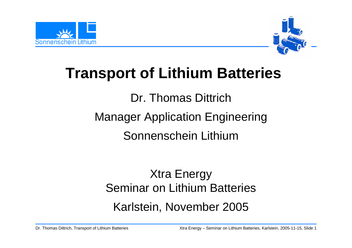



# **Transport of Lithium Batteries**

Dr. Thomas Dittrich

Manager Application Engineering

Sonnenschein Lithium

# Xtra Energy Seminar on Lithium Batteries Karlstein, November 2005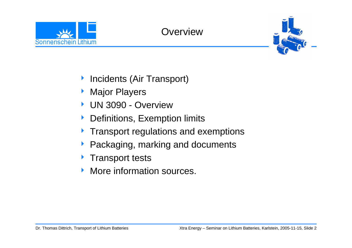





- **Incidents (Air Transport)**
- ▶ Major Players
- 4 UN 3090 Overview
- $\blacktriangleright$ Definitions, Exemption limits
- $\blacktriangleright$ Transport regulations and exemptions
- $\blacktriangleright$ Packaging, marking and documents
- **Figure 1 Transport tests**
- $\blacktriangleright$ More information sources.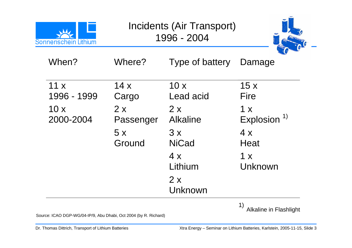| Sonnenschein Lithium |                 | Incidents (Air Transport)<br>1996 - 2004 |                                |
|----------------------|-----------------|------------------------------------------|--------------------------------|
| When?                | Where?          | Type of battery                          | Damage                         |
| 11x<br>1996 - 1999   | 14x<br>Cargo    | 10x<br>Lead acid                         | 15x<br>Fire                    |
| 10x<br>2000-2004     | 2x<br>Passenger | 2x<br><b>Alkaline</b>                    | 1 x<br>Explosion <sup>1)</sup> |
|                      | 5x<br>Ground    | 3x<br><b>NiCad</b>                       | 4x<br>Heat                     |
|                      |                 | 4x<br>Lithium                            | 1 x<br>Unknown                 |
|                      |                 | 2x<br>Unknown                            |                                |

1) Alkaline in Flashlight

**College** 

Source: ICAO DGP-WG/04-IP/9, Abu Dhabi, Oct 2004 (by R. Richard)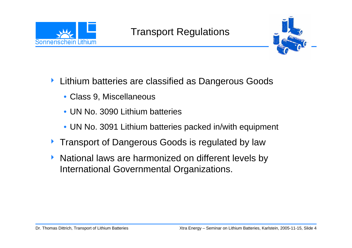

#### Transport Regulations



- $\blacktriangleright$  Lithium batteries are classified as Dangerous Goods
	- Class 9, Miscellaneous
	- UN No. 3090 Lithium batteries
	- UN No. 3091 Lithium batteries packed in/with equipment
- **Transport of Dangerous Goods is regulated by law**
- $\blacktriangleright$  National laws are harmonized on different levels by International Governmental Organizations.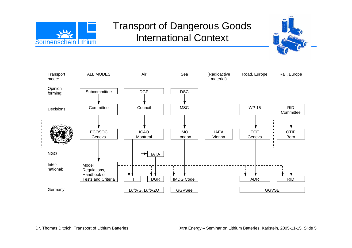

#### Transport of Dangerous Goods International Context



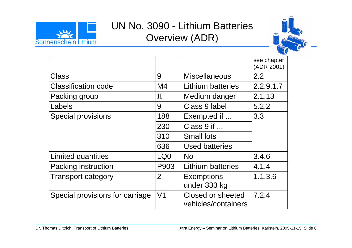

## UN No. 3090 - Lithium Batteries Overview (ADR)



|                                 |                |                                          | see chapter<br>(ADR 2001) |  |
|---------------------------------|----------------|------------------------------------------|---------------------------|--|
| Class                           | 9              | <b>Miscellaneous</b>                     | $2.2^{\circ}$             |  |
| <b>Classification code</b>      | M <sub>4</sub> | Lithium batteries                        | 2.2.9.1.7                 |  |
| Packing group                   | H              | Medium danger                            | 2.1.13                    |  |
| Labels                          | 9              | Class 9 label                            | 5.2.2                     |  |
| <b>Special provisions</b>       | 188            | Exempted if                              | 3.3                       |  |
|                                 | 230            | Class 9 if                               |                           |  |
|                                 | 310            | <b>Small lots</b>                        |                           |  |
|                                 | 636            | <b>Used batteries</b>                    |                           |  |
| Limited quantities              | LQ0            | <b>No</b>                                | 3.4.6                     |  |
| Packing instruction             | P903           | <b>Lithium batteries</b>                 | 4.1.4                     |  |
| <b>Transport category</b>       | $\overline{2}$ | <b>Exemptions</b><br>under 333 kg        | 1.1.3.6                   |  |
| Special provisions for carriage | V <sub>1</sub> | Closed or sheeted<br>vehicles/containers | 7.2.4                     |  |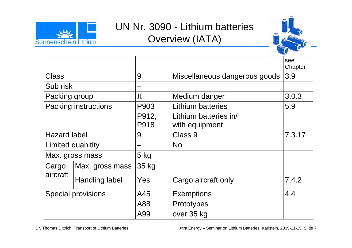

## UN Nr. 3090 - Lithium batteries Overview (IATA)



|                      |                                  |         |                               | see<br>Chapter |
|----------------------|----------------------------------|---------|-------------------------------|----------------|
| <b>Class</b>         |                                  | 9       | Miscellaneous dangerous goods | 3.9            |
| Sub risk             |                                  |         |                               |                |
| Packing group        |                                  | $\prod$ | Medium danger                 | 3.0.3          |
| Packing instructions |                                  | P903    | Lithium batteries             | 5.9            |
|                      |                                  | P912,   | Lithium batteries in/         |                |
|                      |                                  | P918    | with equipment                |                |
| <b>Hazard label</b>  |                                  | 9       | Class 9                       | 7.3.17         |
| Limited quanitity    |                                  |         | <b>No</b>                     |                |
|                      | Max. gross mass                  | $5$ kg  |                               |                |
| Cargo<br>aircraft    | Max. gross mass                  | 35 kg   |                               |                |
|                      | <b>Handling label</b>            | Yes     | Cargo aircraft only           | 7.4.2          |
|                      | <b>Special provisions</b><br>A45 |         | <b>Exemptions</b>             | 4.4            |
|                      |                                  | A88     | Prototypes                    |                |
|                      |                                  | A99     | over 35 kg                    |                |

Dr. Thomas Dittrich, Transport of Lithium Batteries Xtra Energy – Seminar on Lithium Batteries, Karlstein, 2005-11-15, Slide 7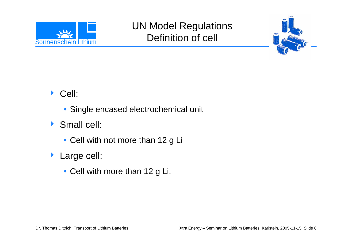

## UN Model Regulations Definition of cell



- ◆ Cell:
	- Single encased electrochemical unit
- ▶ Small cell:
	- Cell with not more than 12 g Li
- $\blacktriangleright$  Large cell:
	- Cell with more than 12 g Li.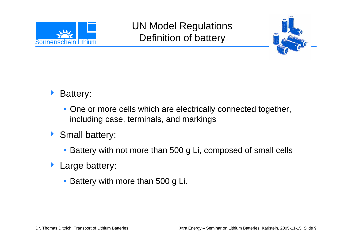

## UN Model Regulations Definition of battery



- $\blacktriangleright$  Battery:
	- One or more cells which are electrically connected together, including case, terminals, and markings
- ▶ Small battery:
	- Battery with not more than 500 g Li, composed of small cells
- $\blacktriangleright$  Large battery:
	- Battery with more than 500 g Li.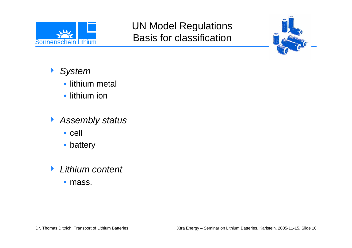

#### UN Model Regulations Basis for classification



- 4 *System*
	- lithium metal
	- lithium ion
- 4 *Assembly status*
	- cell
	- battery
- $\blacktriangleright$  *Lithium content*
	- mass.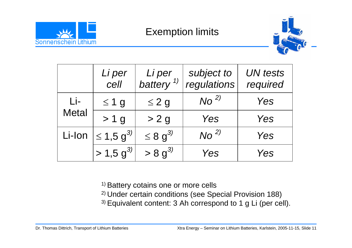

#### Exemption limits



|              | Li per<br>cell             | Li per<br>battery $\frac{1}{2}$ | subject to<br>regulations | <b>UN</b> tests<br>required |
|--------------|----------------------------|---------------------------------|---------------------------|-----------------------------|
| Li-          | $\leq 1$ g                 | $\leq$ 2 g                      | No <sup>2</sup>           | Yes                         |
| <b>Metal</b> | > 1 g                      | > 2 g                           | Yes                       | Yes                         |
| Li-Ion       | $\leq 1.5$ g <sup>3)</sup> | $\leq 8$ g <sup>3)</sup>        | No <sup>2</sup>           | Yes                         |
|              | $> 1.5 g^{3/2}$            | $> 8 g^{3/2}$                   | Yes                       | Yes                         |

<sup>1)</sup> Battery cotains one or more cells

- 2) Under certain conditions (see Special Provision 188)
- 3) Equivalent content: 3 Ah correspond to 1 g Li (per cell).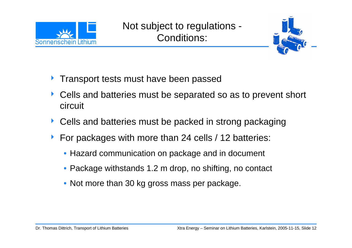

Not subject to regulations - Conditions:



- $\blacktriangleright$ Transport tests must have been passed
- $\blacktriangleright$  Cells and batteries must be separated so as to prevent short circuit
- ▶ Cells and batteries must be packed in strong packaging
- $\blacktriangleright$  For packages with more than 24 cells / 12 batteries:
	- Hazard communication on package and in document
	- Package withstands 1.2 m drop, no shifting, no contact
	- Not more than 30 kg gross mass per package.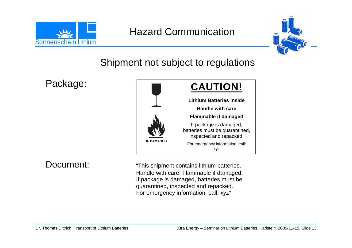

#### Hazard Communication



Shipment not subject to regulations

Package:



Document: "This shipment contains lithium batteries. Handle with care. Flammable if damaged. If package is damaged, batteries must be quarantined, inspected and repacked. For emergency information, call: xyz"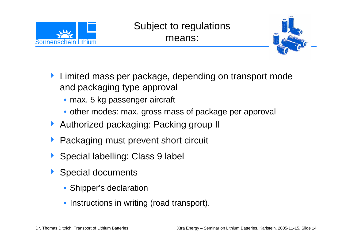

#### Subject to regulations means:



- $\blacktriangleright$  Limited mass per package, depending on transport mode and packaging type approval
	- max. 5 kg passenger aircraft
	- other modes: max. gross mass of package per approval
- ▶ Authorized packaging: Packing group II
- $\blacktriangleright$ Packaging must prevent short circuit
- ▶ Special labelling: Class 9 label
- **Special documents** 
	- Shipper's declaration
	- Instructions in writing (road transport).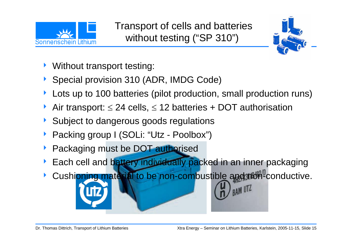



- $\blacktriangleright$ Without transport testing:
- ▶ Special provision 310 (ADR, IMDG Code)
- $\blacktriangleright$ Lots up to 100 batteries (pilot production, small production runs)
- Air transport:  $\leq$  24 cells,  $\leq$  12 batteries + DOT authorisation
- ▶ Subject to dangerous goods regulations
- ▶ Packing group I (SOLi: "Utz Poolbox")
- $\blacktriangleright$ Packaging must be DOT authorised
- Each cell and battery individually packed in an inner packaging
- $\blacktriangleright$ Cushioning material to be non-combustible and then conductive.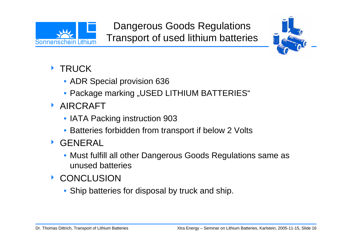



#### **TRUCK**

- ADR Special provision 636
- $\bullet$  Package marking "USED LITHIUM BATTERIES"
- **AIRCRAFT** 
	- IATA Packing instruction 903
	- Batteries forbidden from transport if below 2 Volts
- $\blacktriangleright$  GENERAL
	- Must fulfill all other Dangerous Goods Regulations same as unused batteries
- **EXECUTE CONCLUSION** 
	- Ship batteries for disposal by truck and ship.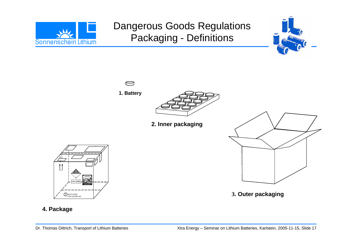

## Dangerous Goods Regulations Packaging - Definitions





#### **4. Package**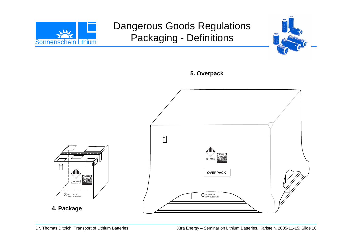

## Dangerous Goods Regulations Packaging - Definitions





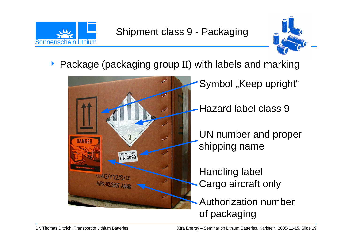



▶ Package (packaging group II) with labels and marking

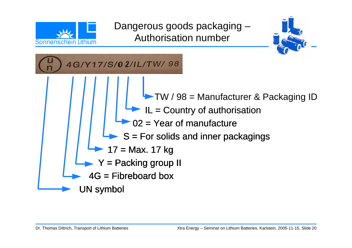

Dangerous goods packaging – Authorisation number



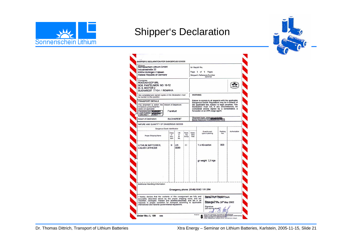

#### Shipper's Declaration



| Shipper<br>Sonnenschein Lithium GmbH<br>Industriestraße 22<br>63654 Büdingen / Hessen<br><b>Federal Republic of Germany</b>                                                                                                                                                                                                             |                              |                       |                                                                                                                                                                                                                                             | Air Waybill No.<br>Page 1 of 1 Pages<br>Shipper's Reference Number<br>(optional) |                                                                                       |                  |               |
|-----------------------------------------------------------------------------------------------------------------------------------------------------------------------------------------------------------------------------------------------------------------------------------------------------------------------------------------|------------------------------|-----------------------|---------------------------------------------------------------------------------------------------------------------------------------------------------------------------------------------------------------------------------------------|----------------------------------------------------------------------------------|---------------------------------------------------------------------------------------|------------------|---------------|
| Consignee<br><b>ROCCAS ICCP SRL</b><br>SOS, PANTELIMON NO. 10-12<br>Et. 6. SECTOR 2<br>BUCHAREST 77104 / ROMANIA                                                                                                                                                                                                                        |                              |                       |                                                                                                                                                                                                                                             |                                                                                  |                                                                                       |                  |               |
| Two completed and signed copies of this Declaration must<br>be handed to the operator.                                                                                                                                                                                                                                                  |                              |                       |                                                                                                                                                                                                                                             |                                                                                  | <b>WARNING</b>                                                                        |                  |               |
| <b>TRANSPORT DETAILS</b>                                                                                                                                                                                                                                                                                                                |                              |                       |                                                                                                                                                                                                                                             |                                                                                  | Failure to comply in all respects with the applicable                                 |                  |               |
| This shipment is within the<br>Airport of Departure:<br>limitations prescribed for:<br>(delete non-applicable)<br>Frankfurt<br>PASSENGER CALLED<br>AND CARGO<br>AIRCRAFT<br>BRAZOC                                                                                                                                                      |                              |                       | Dangerous Goods Regulations may be in breach of<br>the applicable law, subject to legal penalties. This<br>Declaration must not, in any circumstances, be completed and/or signed by a consolidator, a<br>forwarder or an IATA cargo agent. |                                                                                  |                                                                                       |                  |               |
| Airport of Destination:                                                                                                                                                                                                                                                                                                                 | <b>BUCHAREST</b>             |                       |                                                                                                                                                                                                                                             | Shipment type: (delete environment)                                              |                                                                                       |                  |               |
| NATURE AND QUANTITY OF DANGEROUS GOODS                                                                                                                                                                                                                                                                                                  |                              |                       |                                                                                                                                                                                                                                             |                                                                                  |                                                                                       |                  |               |
| Dangerous Goods Identification                                                                                                                                                                                                                                                                                                          |                              |                       |                                                                                                                                                                                                                                             |                                                                                  |                                                                                       |                  |               |
| Proper Shipping Name                                                                                                                                                                                                                                                                                                                    | Class<br>or<br>Divi-<br>sion | UN<br>or<br>ID<br>No. | Pack-<br>ing<br>Group                                                                                                                                                                                                                       | Subsi-<br>diary<br><b>Risk</b>                                                   | Quantity and<br>type of packing                                                       | Packing<br>Inst. | Authorization |
| LITHIUM BATTERIES,<br><b>LIQUID CATHODE</b>                                                                                                                                                                                                                                                                                             | 9                            | UN<br>3090            | $^{11}$                                                                                                                                                                                                                                     |                                                                                  | 1 x 4G-carton<br>gr weight 2,3 kgs                                                    | 903              |               |
| Additional Handling Information                                                                                                                                                                                                                                                                                                         |                              |                       |                                                                                                                                                                                                                                             |                                                                                  | Emergency phone: (0049) 6042 / 81-284                                                 |                  |               |
| hereby declare that the contents of this consignment are fully and<br>accurately described above by the proper shipping name, and are classified, packaged, marked and labelled/placarded, and are in all<br>respects in proper condition for transport according to applicable<br>international and national governmental regulations. |                              |                       |                                                                                                                                                                                                                                             |                                                                                  | Bansel Hof' Export Clerk<br>Boaringer This 29th May 2002<br>Signature<br>(see warning |                  |               |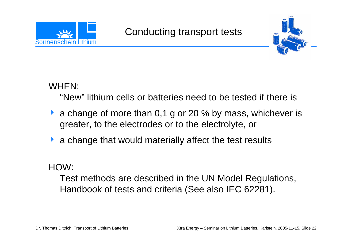



WHEN:

"New" lithium cells or batteries need to be tested if there is

- a change of more than 0,1 g or 20 % by mass, whichever is greater, to the electrodes or to the electrolyte, or
- **A** a change that would materially affect the test results

HOW:

Test methods are described in the UN Model Regulations, Handbook of tests and criteria (See also IEC 62281).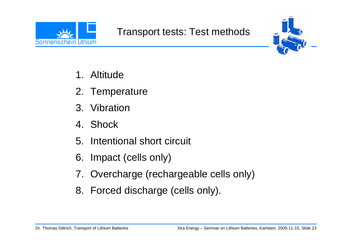



- 1. Altitude
- 2. Temperature
- 3. Vibration
- 4. Shock
- 5. Intentional short circuit
- 6. Impact (cells only)
- 7. Overcharge (rechargeable cells only)
- 8. Forced discharge (cells only).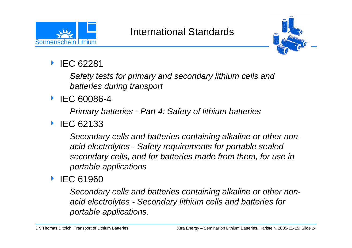

#### International Standards



#### $\blacktriangleright$ IEC 62281

*Safety tests for primary and secondary lithium cells and batteries during transport*

#### ▶ IEC 60086-4

*Primary batteries - Part 4: Safety of lithium batteries*

#### ▶ IEC 62133

*Secondary cells and batteries containing alkaline or other nonacid electrolytes - Safety requirements for portable sealed secondary cells, and for batteries made from them, for use in portable applications*

#### **EC 61960**

*Secondary cells and batteries containing alkaline or other nonacid electrolytes - Secondary lithium cells and batteries for portable applications.*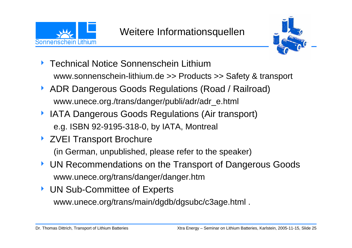



- ▶ Technical Notice Sonnenschein Lithium www.sonnenschein-lithium.de >> Products >> Safety & transport
- **ADR Dangerous Goods Regulations (Road / Railroad)** www.unece.org./trans/danger/publi/adr/adr\_e.html
- **IATA Dangerous Goods Regulations (Air transport)** e.g. ISBN 92-9195-318-0, by IATA, Montreal
- ▶ ZVEI Transport Brochure

(in German, unpublished, please refer to the speaker)

- 4 UN Recommendations on the Transport of Dangerous Goods www.unece.org/trans/danger/danger.htm
- ▶ UN Sub-Committee of Experts www.unece.org/trans/main/dgdb/dgsubc/c3age.html .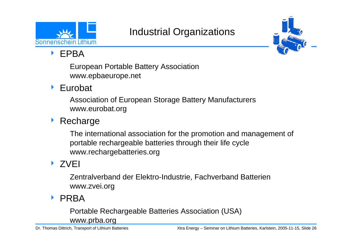

## Industrial Organizations



 $\blacktriangleright$ EPBA

> European Portable Battery Association www.epbaeurope.net

 $\blacktriangleright$ Eurobat

> Association of European Storage Battery Manufacturers www.eurobat.org

 $\blacktriangleright$ **Recharge** 

> The international association for the promotion and management of portable rechargeable batteries through their life cycle www.rechargebatteries.org

#### ▶ ZVEI

Zentralverband der Elektro-Industrie, Fachverband Batterien www.zvei.org

▶ PRBA

Portable Rechargeable Batteries Association (USA)

www.prba.org